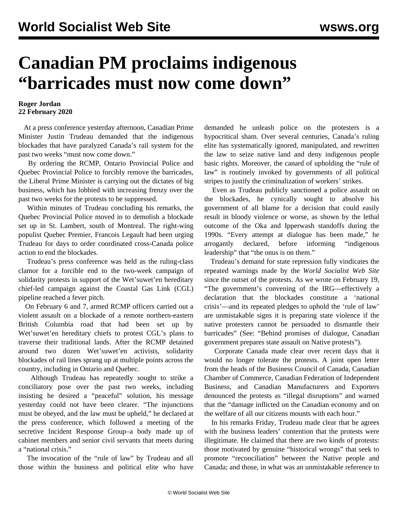## **Canadian PM proclaims indigenous "barricades must now come down"**

## **Roger Jordan 22 February 2020**

 At a press conference yesterday afternoon, Canadian Prime Minister Justin Trudeau demanded that the indigenous blockades that have paralyzed Canada's rail system for the past two weeks "must now come down."

 By ordering the RCMP, Ontario Provincial Police and Quebec Provincial Police to forcibly remove the barricades, the Liberal Prime Minister is carrying out the dictates of big business, which has lobbied with increasing frenzy over the past two weeks for the protests to be suppressed.

 Within minutes of Trudeau concluding his remarks, the Quebec Provincial Police moved in to demolish a blockade set up in St. Lambert, south of Montreal. The right-wing populist Quebec Premier, Francois Legault had been urging Trudeau for days to order coordinated cross-Canada police action to end the blockades.

 Trudeau's press conference was held as the ruling-class clamor for a forcible end to the two-week campaign of solidarity protests in support of the Wet'suwet'en hereditary chief-led campaign against the Coastal Gas Link (CGL) pipeline reached a fever pitch.

 On February 6 and 7, armed RCMP officers carried out a violent assault on a blockade of a remote northern-eastern British Columbia road that had been set up by Wet'suwet'en hereditary chiefs to protest CGL's plans to traverse their traditional lands. After the RCMP detained around two dozen Wet'suwet'en activists, solidarity blockades of rail lines sprang up at multiple points across the country, including in Ontario and Quebec.

 Although Trudeau has repeatedly sought to strike a conciliatory pose over the past two weeks, including insisting he desired a "peaceful" solution, his message yesterday could not have been clearer. "The injunctions must be obeyed, and the law must be upheld," he declared at the press conference, which followed a meeting of the secretive Incident Response Group–a body made up of cabinet members and senior civil servants that meets during a "national crisis."

 The invocation of the "rule of law" by Trudeau and all those within the business and political elite who have demanded he unleash police on the protesters is a hypocritical sham. Over several centuries, Canada's ruling elite has systematically ignored, manipulated, and rewritten the law to seize native land and deny indigenous people basic rights. Moreover, the canard of upholding the "rule of law" is routinely invoked by governments of all political stripes to justify the criminalization of workers' strikes.

 Even as Trudeau publicly sanctioned a police assault on the blockades, he cynically sought to absolve his government of all blame for a decision that could easily result in bloody violence or worse, as shown by the lethal outcome of the Oka and Ipperwash standoffs during the 1990s. "Every attempt at dialogue has been made," he arrogantly declared, before informing "indigenous leadership" that "the onus is on them."

 Trudeau's demand for state repression fully vindicates the repeated warnings made by the *World Socialist Web Site* since the outset of the protests. As we wrote on February 19, "The government's convening of the IRG—effectively a declaration that the blockades constitute a 'national crisis'—and its repeated pledges to uphold the 'rule of law' are unmistakable signs it is preparing state violence if the native protesters cannot be persuaded to dismantle their barricades" (See: "[Behind promises of dialogue, Canadian](/en/articles/2020/02/19/trud-f19.html) [government prepares state assault on Native protests](/en/articles/2020/02/19/trud-f19.html)").

 Corporate Canada made clear over recent days that it would no longer tolerate the protests. A joint open letter from the heads of the Business Council of Canada, Canadian Chamber of Commerce, Canadian Federation of Independent Business, and Canadian Manufacturers and Exporters denounced the protests as "illegal disruptions" and warned that the "damage inflicted on the Canadian economy and on the welfare of all our citizens mounts with each hour."

 In his remarks Friday, Trudeau made clear that he agrees with the business leaders' contention that the protests were illegitimate. He claimed that there are two kinds of protests: those motivated by genuine "historical wrongs" that seek to promote "reconciliation" between the Native people and Canada; and those, in what was an unmistakable reference to